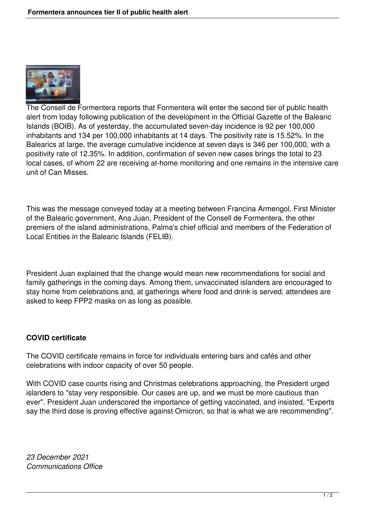

The Consell de Formentera reports that Formentera will enter the second tier of public health alert from today following publication of the development in the Official Gazette of the Balearic Islands (BOIB). As of yesterday, the accumulated seven-day incidence is 92 per 100,000 inhabitants and 134 per 100,000 inhabitants at 14 days. The positivity rate is 15.52%. In the Balearics at large, the average cumulative incidence at seven days is 346 per 100,000, with a positivity rate of 12.35%. In addition, confirmation of seven new cases brings the total to 23 local cases, of whom 22 are receiving at-home monitoring and one remains in the intensive care unit of Can Misses.

This was the message conveyed today at a meeting between Francina Armengol, First Minister of the Balearic government, Ana Juan, President of the Consell de Formentera, the other premiers of the island administrations, Palma's chief official and members of the Federation of Local Entities in the Balearic Islands (FELIB).

President Juan explained that the change would mean new recommendations for social and family gatherings in the coming days. Among them, unvaccinated islanders are encouraged to stay home from celebrations and, at gatherings where food and drink is served, attendees are asked to keep FPP2 masks on as long as possible.

## **COVID certificate**

The COVID certificate remains in force for individuals entering bars and cafés and other celebrations with indoor capacity of over 50 people.

With COVID case counts rising and Christmas celebrations approaching, the President urged islanders to "stay very responsible. Our cases are up, and we must be more cautious than ever". President Juan underscored the importance of getting vaccinated, and insisted, "Experts say the third dose is proving effective against Omicron, so that is what we are recommending".

*23 December 2021 Communications Office*